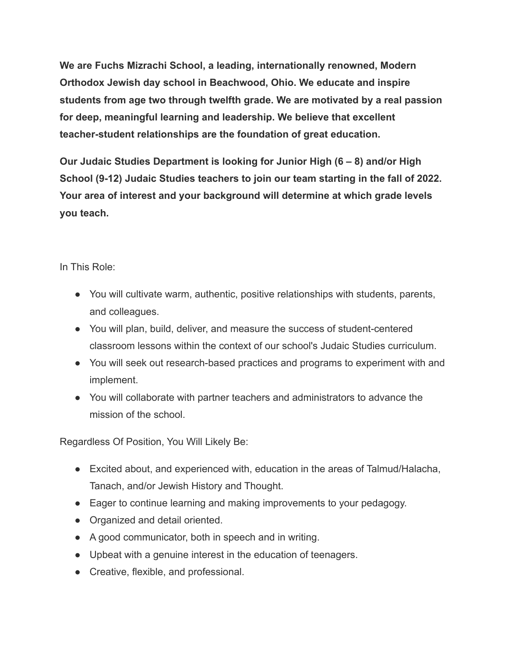**We are Fuchs Mizrachi School, a leading, internationally renowned, Modern Orthodox Jewish day school in Beachwood, Ohio. We educate and inspire students from age two through twelfth grade. We are motivated by a real passion for deep, meaningful learning and leadership. We believe that excellent teacher-student relationships are the foundation of great education.**

**Our Judaic Studies Department is looking for Junior High (6 – 8) and/or High School (9-12) Judaic Studies teachers to join our team starting in the fall of 2022. Your area of interest and your background will determine at which grade levels you teach.**

In This Role:

- You will cultivate warm, authentic, positive relationships with students, parents, and colleagues.
- You will plan, build, deliver, and measure the success of student-centered classroom lessons within the context of our school's Judaic Studies curriculum.
- You will seek out research-based practices and programs to experiment with and implement.
- You will collaborate with partner teachers and administrators to advance the mission of the school.

Regardless Of Position, You Will Likely Be:

- Excited about, and experienced with, education in the areas of Talmud/Halacha, Tanach, and/or Jewish History and Thought.
- Eager to continue learning and making improvements to your pedagogy.
- Organized and detail oriented.
- A good communicator, both in speech and in writing.
- Upbeat with a genuine interest in the education of teenagers.
- Creative, flexible, and professional.